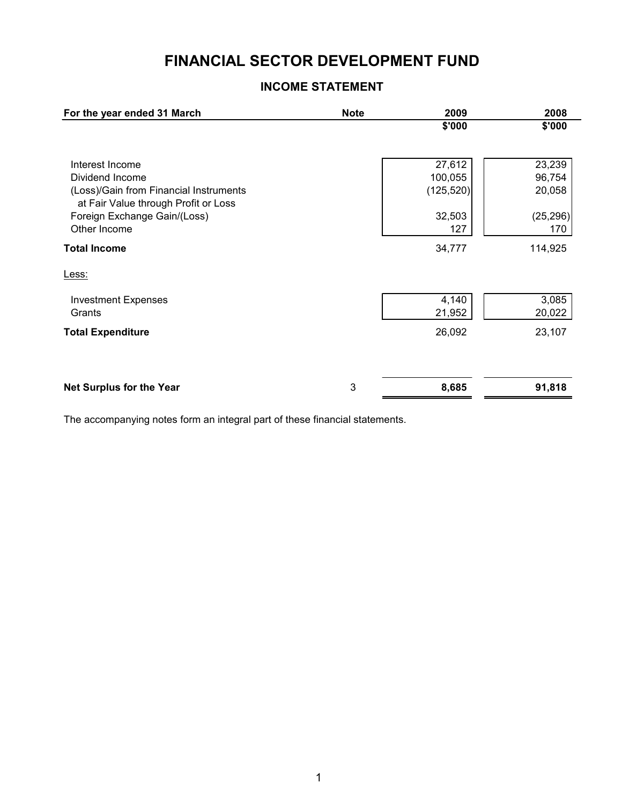# **FINANCIAL SECTOR DEVELOPMENT FUND**

## **INCOME STATEMENT**

| For the year ended 31 March                                                    | <b>Note</b> | 2009       | 2008      |
|--------------------------------------------------------------------------------|-------------|------------|-----------|
|                                                                                |             | \$'000     | \$'000    |
| Interest Income                                                                |             | 27,612     | 23,239    |
| Dividend Income                                                                |             | 100,055    | 96,754    |
| (Loss)/Gain from Financial Instruments<br>at Fair Value through Profit or Loss |             | (125, 520) | 20,058    |
| Foreign Exchange Gain/(Loss)                                                   |             | 32,503     | (25, 296) |
| Other Income                                                                   |             | 127        | 170       |
| <b>Total Income</b>                                                            |             | 34,777     | 114,925   |
| Less:                                                                          |             |            |           |
| <b>Investment Expenses</b>                                                     |             | 4,140      | 3,085     |
| Grants                                                                         |             | 21,952     | 20,022    |
| <b>Total Expenditure</b>                                                       |             | 26,092     | 23,107    |
| <b>Net Surplus for the Year</b>                                                | 3           | 8,685      | 91,818    |
|                                                                                |             |            |           |

The accompanying notes form an integral part of these financial statements.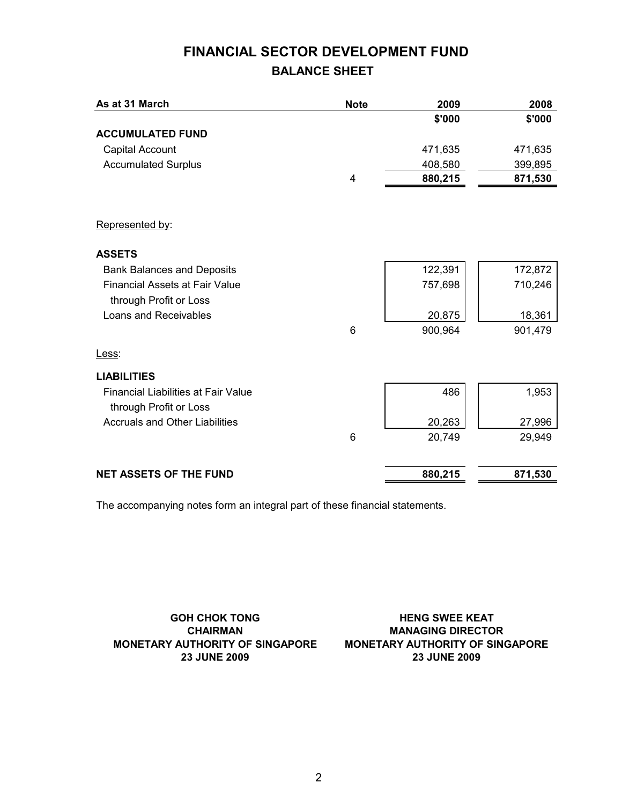# **FINANCIAL SECTOR DEVELOPMENT FUND BALANCE SHEET**

| As at 31 March                             | <b>Note</b> | 2009    | 2008    |
|--------------------------------------------|-------------|---------|---------|
|                                            |             | \$'000  | \$'000  |
| <b>ACCUMULATED FUND</b>                    |             |         |         |
| Capital Account                            |             | 471,635 | 471,635 |
| <b>Accumulated Surplus</b>                 |             | 408,580 | 399,895 |
|                                            | 4           | 880,215 | 871,530 |
|                                            |             |         |         |
| Represented by:                            |             |         |         |
| <b>ASSETS</b>                              |             |         |         |
| <b>Bank Balances and Deposits</b>          |             | 122,391 | 172,872 |
| <b>Financial Assets at Fair Value</b>      |             | 757,698 | 710,246 |
| through Profit or Loss                     |             |         |         |
| Loans and Receivables                      |             | 20,875  | 18,361  |
|                                            | 6           | 900,964 | 901,479 |
| Less:                                      |             |         |         |
| <b>LIABILITIES</b>                         |             |         |         |
| <b>Financial Liabilities at Fair Value</b> |             | 486     | 1,953   |
| through Profit or Loss                     |             |         |         |
| <b>Accruals and Other Liabilities</b>      |             | 20,263  | 27,996  |
|                                            | 6           | 20,749  | 29,949  |
| <b>NET ASSETS OF THE FUND</b>              |             | 880,215 | 871,530 |

The accompanying notes form an integral part of these financial statements.

**GOH CHOK TONG CHAIRMAN MONETARY AUTHORITY OF SINGAPORE**

**23 JUNE 2009 23 JUNE 2009 MONETARY AUTHORITY OF SINGAPORE MANAGING DIRECTOR HENG SWEE KEAT**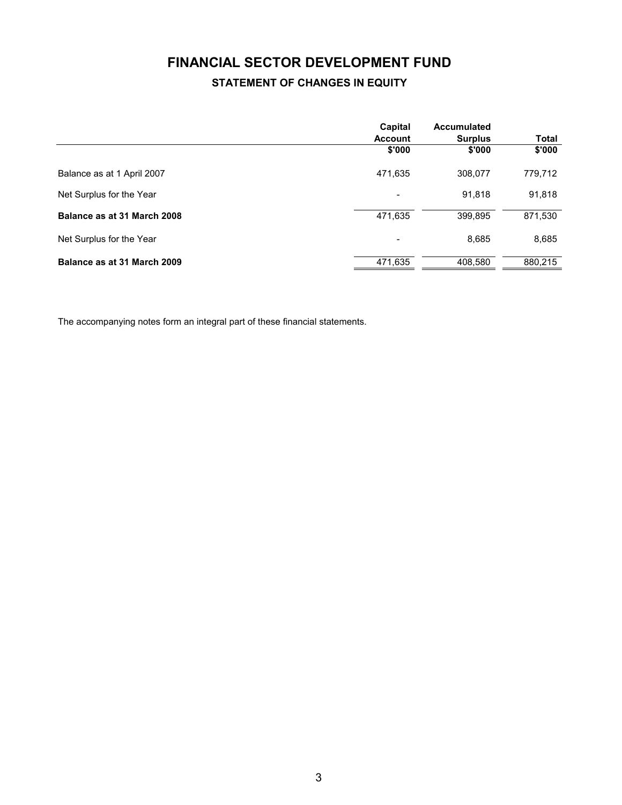# **FINANCIAL SECTOR DEVELOPMENT FUND**

## **STATEMENT OF CHANGES IN EQUITY**

|                             | Capital<br><b>Account</b> | Accumulated<br><b>Surplus</b> | Total   |
|-----------------------------|---------------------------|-------------------------------|---------|
|                             | \$'000                    | \$'000                        | \$'000  |
| Balance as at 1 April 2007  | 471,635                   | 308,077                       | 779,712 |
| Net Surplus for the Year    | $\overline{\phantom{a}}$  | 91,818                        | 91,818  |
| Balance as at 31 March 2008 | 471,635                   | 399,895                       | 871,530 |
| Net Surplus for the Year    | $\overline{\phantom{a}}$  | 8,685                         | 8,685   |
| Balance as at 31 March 2009 | 471,635                   | 408,580                       | 880,215 |

The accompanying notes form an integral part of these financial statements.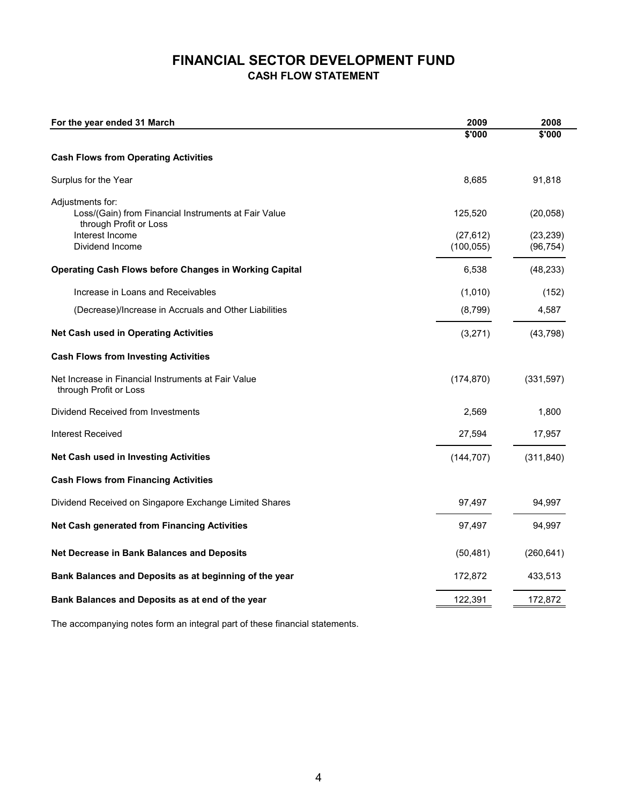## **FINANCIAL SECTOR DEVELOPMENT FUND CASH FLOW STATEMENT**

| For the year ended 31 March                                                                        | 2009                    | 2008                   |
|----------------------------------------------------------------------------------------------------|-------------------------|------------------------|
|                                                                                                    | 5'000                   | \$'000                 |
| <b>Cash Flows from Operating Activities</b>                                                        |                         |                        |
| Surplus for the Year                                                                               | 8,685                   | 91,818                 |
| Adjustments for:<br>Loss/(Gain) from Financial Instruments at Fair Value<br>through Profit or Loss | 125,520                 | (20, 058)              |
| Interest Income<br>Dividend Income                                                                 | (27, 612)<br>(100, 055) | (23, 239)<br>(96, 754) |
| <b>Operating Cash Flows before Changes in Working Capital</b>                                      | 6,538                   | (48, 233)              |
| Increase in Loans and Receivables                                                                  | (1,010)                 | (152)                  |
| (Decrease)/Increase in Accruals and Other Liabilities                                              | (8,799)                 | 4,587                  |
| <b>Net Cash used in Operating Activities</b>                                                       | (3,271)                 | (43, 798)              |
| <b>Cash Flows from Investing Activities</b>                                                        |                         |                        |
| Net Increase in Financial Instruments at Fair Value<br>through Profit or Loss                      | (174, 870)              | (331, 597)             |
| Dividend Received from Investments                                                                 | 2,569                   | 1,800                  |
| <b>Interest Received</b>                                                                           | 27,594                  | 17,957                 |
| Net Cash used in Investing Activities                                                              | (144, 707)              | (311, 840)             |
| <b>Cash Flows from Financing Activities</b>                                                        |                         |                        |
| Dividend Received on Singapore Exchange Limited Shares                                             | 97,497                  | 94,997                 |
| <b>Net Cash generated from Financing Activities</b>                                                | 97,497                  | 94,997                 |
| <b>Net Decrease in Bank Balances and Deposits</b>                                                  | (50, 481)               | (260, 641)             |
| Bank Balances and Deposits as at beginning of the year                                             | 172,872                 | 433,513                |
| Bank Balances and Deposits as at end of the year                                                   | 122,391                 | 172,872                |
|                                                                                                    |                         |                        |

The accompanying notes form an integral part of these financial statements.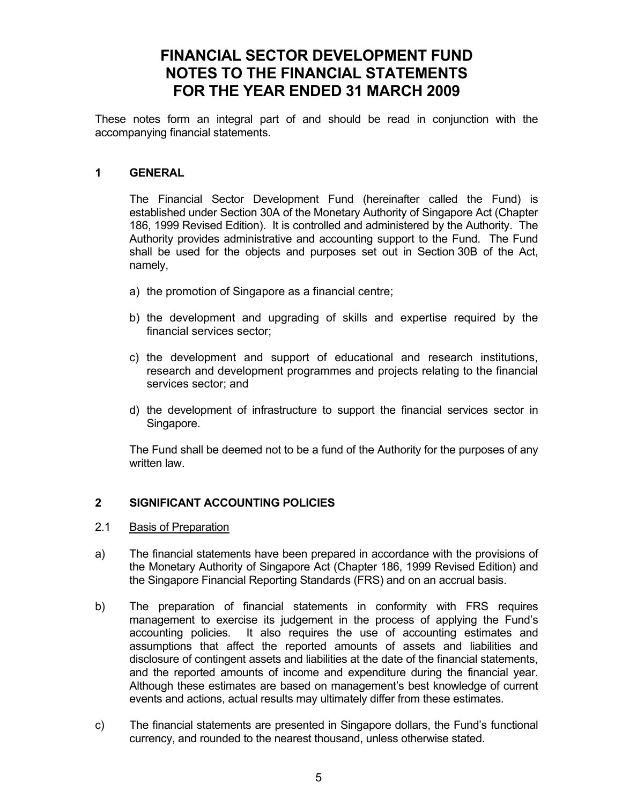# **FINANCIAL SECTOR DEVELOPMENT FUND NOTES TO THE FINANCIAL STATEMENTS FOR THE YEAR ENDED 31 MARCH 2009**

These notes form an integral part of and should be read in conjunction with the accompanying financial statements.

### **1 GENERAL**

 The Financial Sector Development Fund (hereinafter called the Fund) is established under Section 30A of the Monetary Authority of Singapore Act (Chapter 186, 1999 Revised Edition). It is controlled and administered by the Authority. The Authority provides administrative and accounting support to the Fund. The Fund shall be used for the objects and purposes set out in Section 30B of the Act, namely,

- a) the promotion of Singapore as a financial centre;
- b) the development and upgrading of skills and expertise required by the financial services sector;
- c) the development and support of educational and research institutions, research and development programmes and projects relating to the financial services sector; and
- d) the development of infrastructure to support the financial services sector in Singapore.

The Fund shall be deemed not to be a fund of the Authority for the purposes of any written law.

## **2 SIGNIFICANT ACCOUNTING POLICIES**

### 2.1 Basis of Preparation

- a) The financial statements have been prepared in accordance with the provisions of the Monetary Authority of Singapore Act (Chapter 186, 1999 Revised Edition) and the Singapore Financial Reporting Standards (FRS) and on an accrual basis.
- b) The preparation of financial statements in conformity with FRS requires management to exercise its judgement in the process of applying the Fund's accounting policies. It also requires the use of accounting estimates and assumptions that affect the reported amounts of assets and liabilities and disclosure of contingent assets and liabilities at the date of the financial statements, and the reported amounts of income and expenditure during the financial year. Although these estimates are based on management's best knowledge of current events and actions, actual results may ultimately differ from these estimates.
- c) The financial statements are presented in Singapore dollars, the Fund's functional currency, and rounded to the nearest thousand, unless otherwise stated.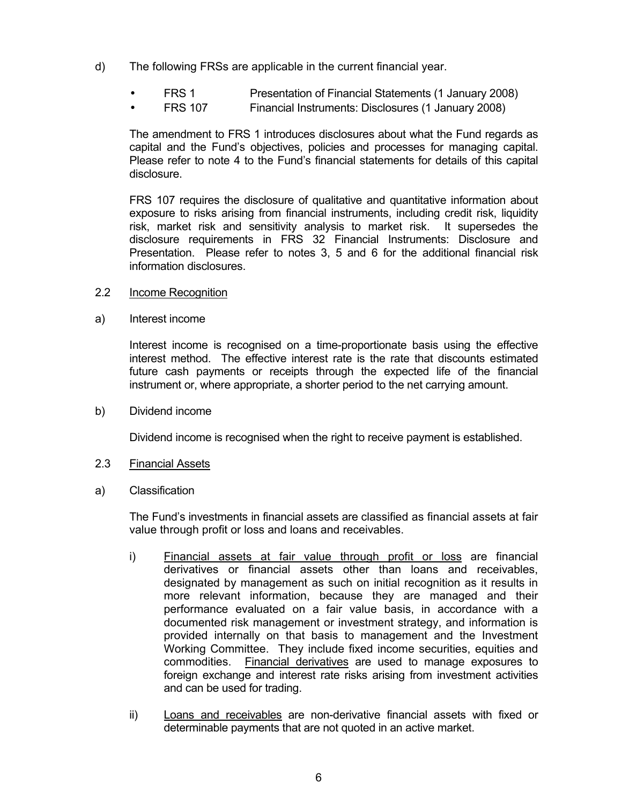- d) The following FRSs are applicable in the current financial year.
	- FRS 1 Presentation of Financial Statements (1 January 2008)
	- FRS 107 Financial Instruments: Disclosures (1 January 2008)

 The amendment to FRS 1 introduces disclosures about what the Fund regards as capital and the Fund's objectives, policies and processes for managing capital. Please refer to note 4 to the Fund's financial statements for details of this capital disclosure.

 FRS 107 requires the disclosure of qualitative and quantitative information about exposure to risks arising from financial instruments, including credit risk, liquidity risk, market risk and sensitivity analysis to market risk. It supersedes the disclosure requirements in FRS 32 Financial Instruments: Disclosure and Presentation. Please refer to notes 3, 5 and 6 for the additional financial risk information disclosures.

- 2.2 Income Recognition
- a) Interest income

 Interest income is recognised on a time-proportionate basis using the effective interest method. The effective interest rate is the rate that discounts estimated future cash payments or receipts through the expected life of the financial instrument or, where appropriate, a shorter period to the net carrying amount.

b) Dividend income

Dividend income is recognised when the right to receive payment is established.

- 2.3 Financial Assets
- a) Classification

The Fund's investments in financial assets are classified as financial assets at fair value through profit or loss and loans and receivables.

- i) Financial assets at fair value through profit or loss are financial derivatives or financial assets other than loans and receivables, designated by management as such on initial recognition as it results in more relevant information, because they are managed and their performance evaluated on a fair value basis, in accordance with a documented risk management or investment strategy, and information is provided internally on that basis to management and the Investment Working Committee. They include fixed income securities, equities and commodities. Financial derivatives are used to manage exposures to foreign exchange and interest rate risks arising from investment activities and can be used for trading.
- ii) Loans and receivables are non-derivative financial assets with fixed or determinable payments that are not quoted in an active market.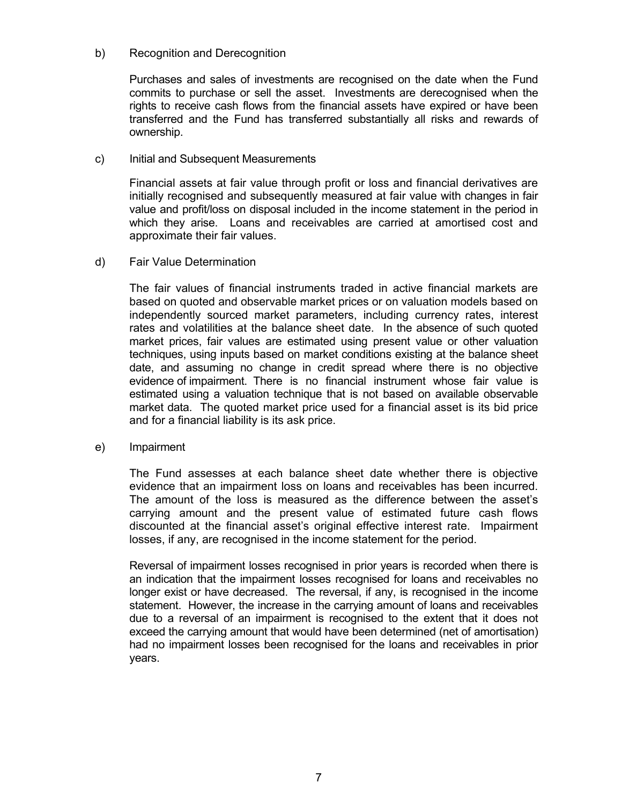#### b) Recognition and Derecognition

Purchases and sales of investments are recognised on the date when the Fund commits to purchase or sell the asset. Investments are derecognised when the rights to receive cash flows from the financial assets have expired or have been transferred and the Fund has transferred substantially all risks and rewards of ownership.

#### c) Initial and Subsequent Measurements

Financial assets at fair value through profit or loss and financial derivatives are initially recognised and subsequently measured at fair value with changes in fair value and profit/loss on disposal included in the income statement in the period in which they arise. Loans and receivables are carried at amortised cost and approximate their fair values.

#### d) Fair Value Determination

The fair values of financial instruments traded in active financial markets are based on quoted and observable market prices or on valuation models based on independently sourced market parameters, including currency rates, interest rates and volatilities at the balance sheet date. In the absence of such quoted market prices, fair values are estimated using present value or other valuation techniques, using inputs based on market conditions existing at the balance sheet date, and assuming no change in credit spread where there is no objective evidence of impairment. There is no financial instrument whose fair value is estimated using a valuation technique that is not based on available observable market data. The quoted market price used for a financial asset is its bid price and for a financial liability is its ask price.

#### e) Impairment

The Fund assesses at each balance sheet date whether there is objective evidence that an impairment loss on loans and receivables has been incurred. The amount of the loss is measured as the difference between the asset's carrying amount and the present value of estimated future cash flows discounted at the financial asset's original effective interest rate. Impairment losses, if any, are recognised in the income statement for the period.

 Reversal of impairment losses recognised in prior years is recorded when there is an indication that the impairment losses recognised for loans and receivables no longer exist or have decreased. The reversal, if any, is recognised in the income statement. However, the increase in the carrying amount of loans and receivables due to a reversal of an impairment is recognised to the extent that it does not exceed the carrying amount that would have been determined (net of amortisation) had no impairment losses been recognised for the loans and receivables in prior years.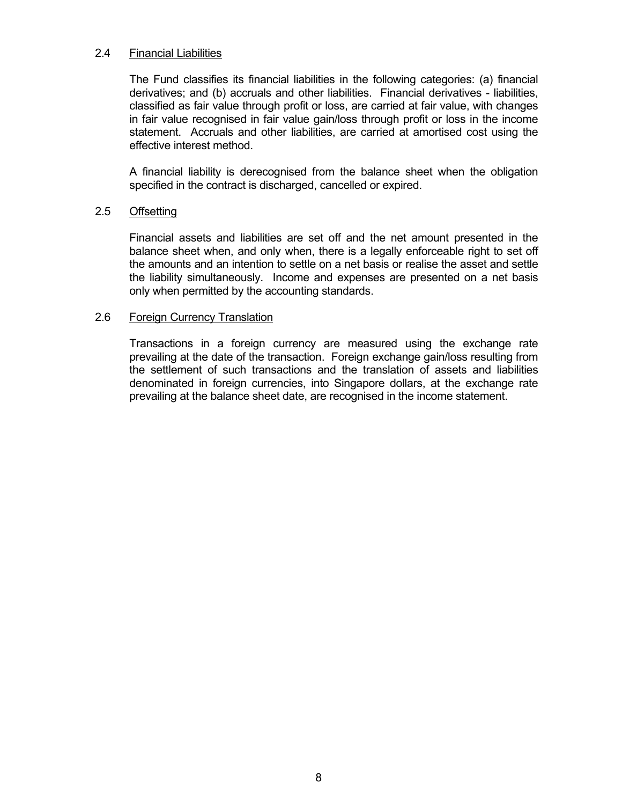#### 2.4 Financial Liabilities

The Fund classifies its financial liabilities in the following categories: (a) financial derivatives; and (b) accruals and other liabilities. Financial derivatives - liabilities, classified as fair value through profit or loss, are carried at fair value, with changes in fair value recognised in fair value gain/loss through profit or loss in the income statement. Accruals and other liabilities, are carried at amortised cost using the effective interest method.

A financial liability is derecognised from the balance sheet when the obligation specified in the contract is discharged, cancelled or expired.

#### 2.5 Offsetting

Financial assets and liabilities are set off and the net amount presented in the balance sheet when, and only when, there is a legally enforceable right to set off the amounts and an intention to settle on a net basis or realise the asset and settle the liability simultaneously. Income and expenses are presented on a net basis only when permitted by the accounting standards.

#### 2.6 Foreign Currency Translation

Transactions in a foreign currency are measured using the exchange rate prevailing at the date of the transaction. Foreign exchange gain/loss resulting from the settlement of such transactions and the translation of assets and liabilities denominated in foreign currencies, into Singapore dollars, at the exchange rate prevailing at the balance sheet date, are recognised in the income statement.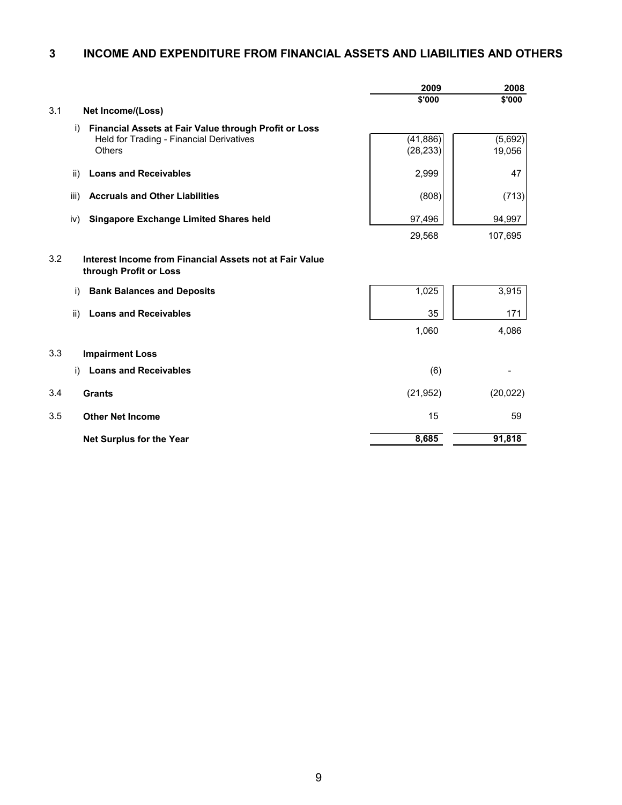#### **3 INCOME AND EXPENDITURE FROM FINANCIAL ASSETS AND LIABILITIES AND OTHERS**

|     |                                                                                   | 2009      | 2008      |
|-----|-----------------------------------------------------------------------------------|-----------|-----------|
|     |                                                                                   | \$'000    | \$'000    |
| 3.1 | <b>Net Income/(Loss)</b>                                                          |           |           |
|     | Financial Assets at Fair Value through Profit or Loss<br>i)                       |           |           |
|     | Held for Trading - Financial Derivatives                                          | (41, 886) | (5,692)   |
|     | <b>Others</b>                                                                     | (28, 233) | 19,056    |
|     | ii)<br><b>Loans and Receivables</b>                                               | 2,999     | 47        |
|     | <b>Accruals and Other Liabilities</b><br>iii)                                     | (808)     | (713)     |
|     | <b>Singapore Exchange Limited Shares held</b><br>iv)                              | 97,496    | 94,997    |
|     |                                                                                   | 29,568    | 107,695   |
| 3.2 | Interest Income from Financial Assets not at Fair Value<br>through Profit or Loss |           |           |
|     | i)<br><b>Bank Balances and Deposits</b>                                           | 1,025     | 3,915     |
|     | ii)<br><b>Loans and Receivables</b>                                               | 35        | 171       |
|     |                                                                                   | 1,060     | 4,086     |
| 3.3 | <b>Impairment Loss</b>                                                            |           |           |
|     | <b>Loans and Receivables</b><br>i)                                                | (6)       |           |
| 3.4 | <b>Grants</b>                                                                     | (21, 952) | (20, 022) |
| 3.5 | <b>Other Net Income</b>                                                           | 15        | 59        |
|     | <b>Net Surplus for the Year</b>                                                   | 8,685     | 91,818    |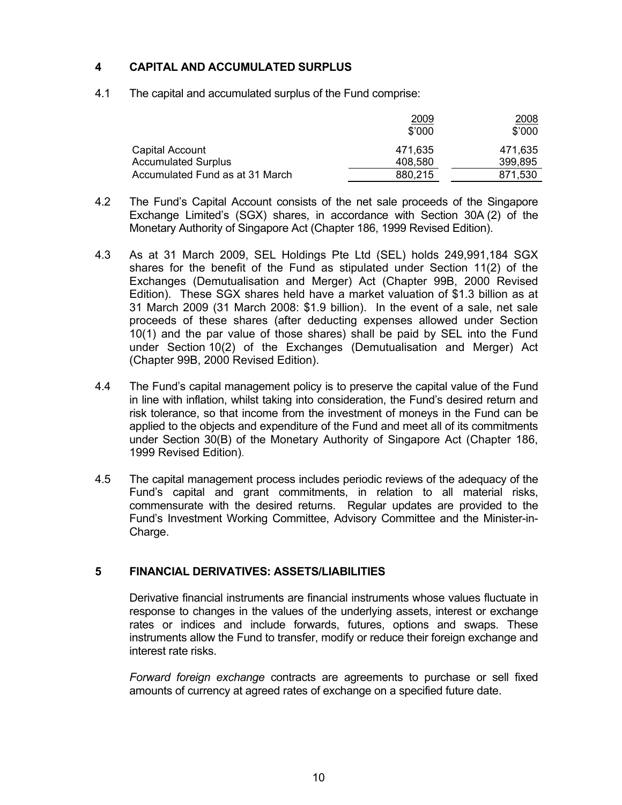## **4 CAPITAL AND ACCUMULATED SURPLUS**

4.1 The capital and accumulated surplus of the Fund comprise:

|                                 | <u> 2009</u><br>$$^{\prime}000$ | 2008<br>\$'000 |
|---------------------------------|---------------------------------|----------------|
| Capital Account                 | 471.635                         | 471.635        |
| <b>Accumulated Surplus</b>      | 408.580                         | 399,895        |
| Accumulated Fund as at 31 March | 880,215                         | 871,530        |

- 4.2 The Fund's Capital Account consists of the net sale proceeds of the Singapore Exchange Limited's (SGX) shares, in accordance with Section 30A (2) of the Monetary Authority of Singapore Act (Chapter 186, 1999 Revised Edition).
- 4.3 As at 31 March 2009, SEL Holdings Pte Ltd (SEL) holds 249,991,184 SGX shares for the benefit of the Fund as stipulated under Section 11(2) of the Exchanges (Demutualisation and Merger) Act (Chapter 99B, 2000 Revised Edition). These SGX shares held have a market valuation of \$1.3 billion as at 31 March 2009 (31 March 2008: \$1.9 billion). In the event of a sale, net sale proceeds of these shares (after deducting expenses allowed under Section 10(1) and the par value of those shares) shall be paid by SEL into the Fund under Section 10(2) of the Exchanges (Demutualisation and Merger) Act (Chapter 99B, 2000 Revised Edition).
- 4.4 The Fund's capital management policy is to preserve the capital value of the Fund in line with inflation, whilst taking into consideration, the Fund's desired return and risk tolerance, so that income from the investment of moneys in the Fund can be applied to the objects and expenditure of the Fund and meet all of its commitments under Section 30(B) of the Monetary Authority of Singapore Act (Chapter 186, 1999 Revised Edition).
- 4.5 The capital management process includes periodic reviews of the adequacy of the Fund's capital and grant commitments, in relation to all material risks, commensurate with the desired returns. Regular updates are provided to the Fund's Investment Working Committee, Advisory Committee and the Minister-in-Charge.

### **5 FINANCIAL DERIVATIVES: ASSETS/LIABILITIES**

Derivative financial instruments are financial instruments whose values fluctuate in response to changes in the values of the underlying assets, interest or exchange rates or indices and include forwards, futures, options and swaps. These instruments allow the Fund to transfer, modify or reduce their foreign exchange and interest rate risks.

*Forward foreign exchange* contracts are agreements to purchase or sell fixed amounts of currency at agreed rates of exchange on a specified future date.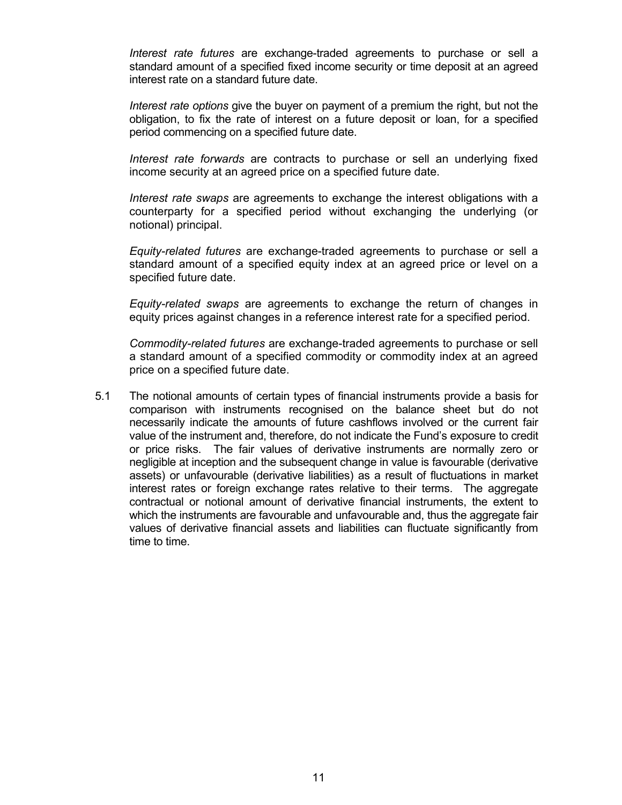*Interest rate futures* are exchange-traded agreements to purchase or sell a standard amount of a specified fixed income security or time deposit at an agreed interest rate on a standard future date.

*Interest rate options* give the buyer on payment of a premium the right, but not the obligation, to fix the rate of interest on a future deposit or loan, for a specified period commencing on a specified future date.

*Interest rate forwards* are contracts to purchase or sell an underlying fixed income security at an agreed price on a specified future date.

 *Interest rate swaps* are agreements to exchange the interest obligations with a counterparty for a specified period without exchanging the underlying (or notional) principal.

*Equity-related futures* are exchange-traded agreements to purchase or sell a standard amount of a specified equity index at an agreed price or level on a specified future date.

*Equity-related swaps* are agreements to exchange the return of changes in equity prices against changes in a reference interest rate for a specified period.

*Commodity-related futures* are exchange-traded agreements to purchase or sell a standard amount of a specified commodity or commodity index at an agreed price on a specified future date.

5.1 The notional amounts of certain types of financial instruments provide a basis for comparison with instruments recognised on the balance sheet but do not necessarily indicate the amounts of future cashflows involved or the current fair value of the instrument and, therefore, do not indicate the Fund's exposure to credit or price risks. The fair values of derivative instruments are normally zero or negligible at inception and the subsequent change in value is favourable (derivative assets) or unfavourable (derivative liabilities) as a result of fluctuations in market interest rates or foreign exchange rates relative to their terms. The aggregate contractual or notional amount of derivative financial instruments, the extent to which the instruments are favourable and unfavourable and, thus the aggregate fair values of derivative financial assets and liabilities can fluctuate significantly from time to time.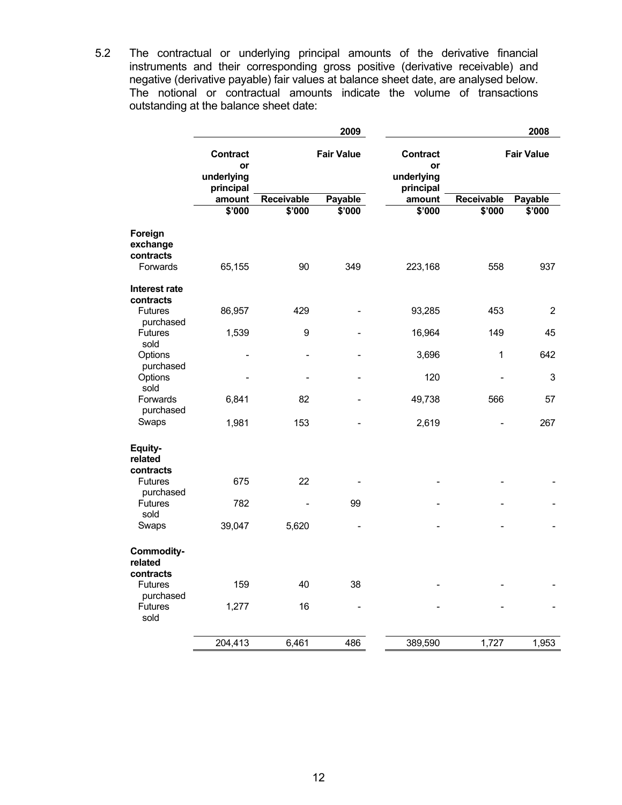5.2 The contractual or underlying principal amounts of the derivative financial instruments and their corresponding gross positive (derivative receivable) and negative (derivative payable) fair values at balance sheet date, are analysed below. The notional or contractual amounts indicate the volume of transactions outstanding at the balance sheet date:

|                                              |                                           |            | 2009              |                                           |            | 2008              |
|----------------------------------------------|-------------------------------------------|------------|-------------------|-------------------------------------------|------------|-------------------|
|                                              | Contract<br>or<br>underlying<br>principal |            | <b>Fair Value</b> | Contract<br>or<br>underlying<br>principal |            | <b>Fair Value</b> |
|                                              | amount                                    | Receivable | Payable           | amount                                    | Receivable | Payable           |
|                                              | \$'000                                    | \$'000     | \$'000            | $\frac{1}{2000}$                          | \$'000     | \$'000            |
| Foreign<br>exchange<br>contracts<br>Forwards | 65,155                                    | 90         | 349               | 223,168                                   | 558        | 937               |
| Interest rate                                |                                           |            |                   |                                           |            |                   |
| contracts<br><b>Futures</b><br>purchased     | 86,957                                    | 429        |                   | 93,285                                    | 453        | $\overline{2}$    |
| <b>Futures</b><br>sold                       | 1,539                                     | 9          |                   | 16,964                                    | 149        | 45                |
| Options<br>purchased                         |                                           |            |                   | 3,696                                     | 1          | 642               |
| Options<br>sold                              |                                           |            |                   | 120                                       |            | 3                 |
| Forwards<br>purchased                        | 6,841                                     | 82         |                   | 49,738                                    | 566        | 57                |
| Swaps                                        | 1,981                                     | 153        |                   | 2,619                                     |            | 267               |
| Equity-<br>related<br>contracts              |                                           |            |                   |                                           |            |                   |
| <b>Futures</b><br>purchased                  | 675                                       | 22         |                   |                                           |            |                   |
| <b>Futures</b><br>sold                       | 782                                       |            | 99                |                                           |            |                   |
| Swaps                                        | 39,047                                    | 5,620      |                   |                                           |            |                   |
| <b>Commodity-</b><br>related<br>contracts    |                                           |            |                   |                                           |            |                   |
| <b>Futures</b><br>purchased                  | 159                                       | 40         | 38                |                                           |            |                   |
| Futures<br>sold                              | 1,277                                     | 16         | $\overline{a}$    |                                           |            |                   |
|                                              | 204,413                                   | 6,461      | 486               | 389,590                                   | 1,727      | 1,953             |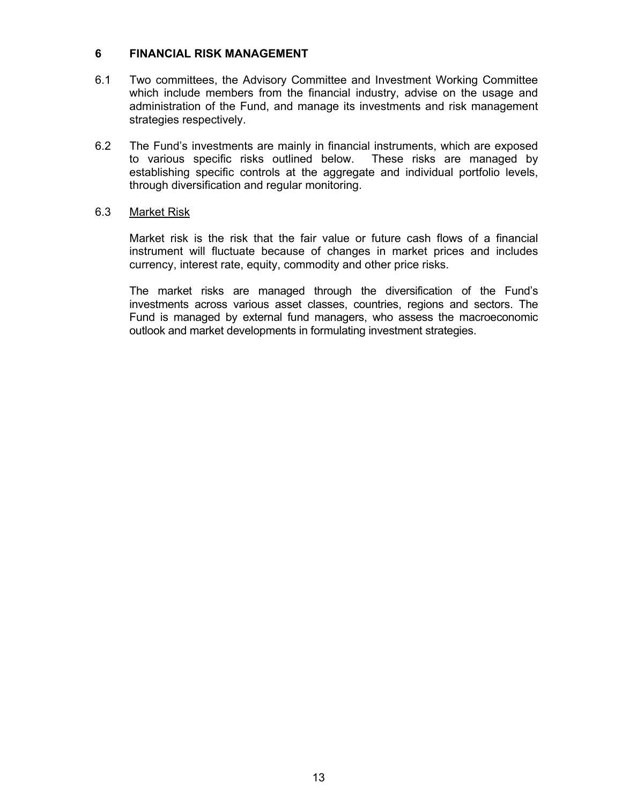#### **6 FINANCIAL RISK MANAGEMENT**

- 6.1 Two committees, the Advisory Committee and Investment Working Committee which include members from the financial industry, advise on the usage and administration of the Fund, and manage its investments and risk management strategies respectively.
- 6.2 The Fund's investments are mainly in financial instruments, which are exposed to various specific risks outlined below. These risks are managed by establishing specific controls at the aggregate and individual portfolio levels, through diversification and regular monitoring.

#### 6.3 Market Risk

 Market risk is the risk that the fair value or future cash flows of a financial instrument will fluctuate because of changes in market prices and includes currency, interest rate, equity, commodity and other price risks.

The market risks are managed through the diversification of the Fund's investments across various asset classes, countries, regions and sectors. The Fund is managed by external fund managers, who assess the macroeconomic outlook and market developments in formulating investment strategies.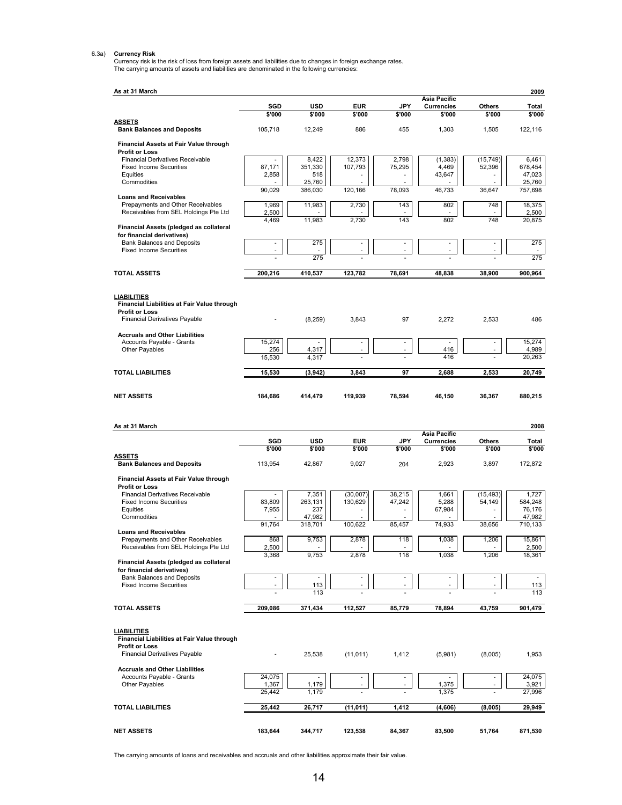6.3a) Currency Risk<br>Currency risk is the risk of loss from foreign assets and liabilities due to changes in foreign exchange rates.<br>The carrying amounts of assets and liabilities are denominated in the following currencies

| As at 31 March                                                                                             |                          |                   |                          |                                |                                          |                          | 2009              |
|------------------------------------------------------------------------------------------------------------|--------------------------|-------------------|--------------------------|--------------------------------|------------------------------------------|--------------------------|-------------------|
|                                                                                                            | SGD                      | <b>USD</b>        | <b>EUR</b>               | JPY                            | <b>Asia Pacific</b><br><b>Currencies</b> | Others                   | Total             |
|                                                                                                            | \$'000                   | \$'000            | \$'000                   | \$'000                         | \$'000                                   | \$'000                   | \$'000            |
| <b>ASSETS</b><br><b>Bank Balances and Deposits</b>                                                         | 105,718                  | 12,249            | 886                      | 455                            | 1,303                                    | 1,505                    | 122,116           |
| Financial Assets at Fair Value through                                                                     |                          |                   |                          |                                |                                          |                          |                   |
| <b>Profit or Loss</b><br><b>Financial Derivatives Receivable</b>                                           |                          | 8,422             | 12,373                   | 2,798                          | (1, 383)                                 | (15, 749)                | 6,461             |
| <b>Fixed Income Securities</b>                                                                             | 87,171                   | 351,330           | 107,793                  | 75,295                         | 4,469                                    | 52,396                   | 678,454           |
| Equities<br>Commodities                                                                                    | 2,858                    | 518<br>25,760     |                          |                                | 43,647                                   |                          | 47,023<br>25,760  |
|                                                                                                            | 90.029                   | 386,030           | 120,166                  | 78,093                         | 46,733                                   | 36,647                   | 757,698           |
| <b>Loans and Receivables</b><br>Prepayments and Other Receivables<br>Receivables from SEL Holdings Pte Ltd | 1,969<br>2,500           | 11,983            | 2,730                    | 143                            | 802                                      | 748                      | 18,375<br>2,500   |
|                                                                                                            | 4,469                    | 11,983            | 2.730                    | 143                            | 802                                      | 748                      | 20.875            |
| Financial Assets (pledged as collateral<br>for financial derivatives)                                      |                          |                   |                          |                                |                                          |                          |                   |
| <b>Bank Balances and Deposits</b>                                                                          | $\overline{\phantom{a}}$ | 275               | $\overline{\phantom{a}}$ | $\overline{\phantom{a}}$       | $\overline{\phantom{a}}$                 | $\overline{\phantom{a}}$ | 275               |
| <b>Fixed Income Securities</b>                                                                             |                          | 275               |                          |                                |                                          |                          | 275               |
| <b>TOTAL ASSETS</b>                                                                                        | 200,216                  | 410,537           | 123,782                  | 78,691                         | 48,838                                   | 38,900                   | 900,964           |
|                                                                                                            |                          |                   |                          |                                |                                          |                          |                   |
| <b>LIABILITIES</b>                                                                                         |                          |                   |                          |                                |                                          |                          |                   |
| Financial Liabilities at Fair Value through<br><b>Profit or Loss</b>                                       |                          |                   |                          |                                |                                          |                          |                   |
| <b>Financial Derivatives Payable</b>                                                                       |                          | (8, 259)          | 3,843                    | 97                             | 2,272                                    | 2,533                    | 486               |
| <b>Accruals and Other Liabilities</b>                                                                      |                          |                   |                          |                                |                                          |                          |                   |
| Accounts Payable - Grants                                                                                  | 15,274                   |                   |                          | $\overline{\phantom{a}}$       | ÷,                                       | $\overline{\phantom{a}}$ | 15,274            |
| Other Payables                                                                                             | 256<br>15.530            | 4,317<br>4,317    |                          |                                | 416<br>416                               |                          | 4,989<br>20,263   |
|                                                                                                            |                          |                   |                          |                                |                                          |                          |                   |
| <b>TOTAL LIABILITIES</b>                                                                                   | 15,530                   | (3,942)           | 3,843                    | 97                             | 2,688                                    | 2,533                    | 20,749            |
| <b>NET ASSETS</b>                                                                                          | 184,686                  | 414,479           | 119,939                  | 78,594                         | 46,150                                   | 36,367                   | 880,215           |
|                                                                                                            |                          |                   |                          |                                |                                          |                          |                   |
|                                                                                                            |                          |                   |                          |                                |                                          |                          |                   |
|                                                                                                            |                          |                   |                          |                                |                                          |                          |                   |
| As at 31 March                                                                                             |                          |                   |                          |                                | Asia Pacific                             |                          | 2008              |
|                                                                                                            | SGD                      | <b>USD</b>        | <b>EUR</b>               | <b>JPY</b>                     | <b>Currencies</b>                        | Others                   | Total             |
| <u>ASSETS</u>                                                                                              | \$'000                   | \$'000            | \$'000                   | \$'000                         | \$'000                                   | \$'000                   | \$'000            |
| <b>Bank Balances and Deposits</b>                                                                          | 113,954                  | 42,867            | 9,027                    | 204                            | 2,923                                    | 3,897                    | 172,872           |
| Financial Assets at Fair Value through                                                                     |                          |                   |                          |                                |                                          |                          |                   |
| <b>Profit or Loss</b>                                                                                      |                          |                   |                          |                                |                                          |                          |                   |
| <b>Financial Derivatives Receivable</b><br><b>Fixed Income Securities</b>                                  | 83,809                   | 7,351<br>263,131  | (30,007)<br>130.629      | 38.215<br>47,242               | 1,661<br>5,288                           | (15, 493)<br>54,149      | 1,727<br>584,248  |
| Equities                                                                                                   | 7,955                    | 237               |                          | ÷,                             | 67,984                                   |                          | 76,176            |
| Commodities                                                                                                | 91,764                   | 47,982<br>318.701 | 100,622                  | 85,457                         | 74.933                                   | 38,656                   | 47,982<br>710,133 |
| <b>Loans and Receivables</b>                                                                               |                          |                   |                          |                                |                                          |                          |                   |
| Prepayments and Other Receivables<br>Receivables from SEL Holdings Pte Ltd                                 | 868<br>2,500             | 9,753             | 2,878                    | 118                            | 1,038                                    | 1,206                    | 15,861<br>2,500   |
| Financial Assets (pledged as collateral                                                                    | 3,368                    | 9,753             | 2,878                    | 118                            | 1,038                                    | 1,206                    | 18,361            |
| for financial derivatives)                                                                                 |                          |                   |                          |                                |                                          |                          |                   |
| <b>Bank Balances and Deposits</b><br><b>Fixed Income Securities</b>                                        |                          | 113               |                          | $\overline{\phantom{a}}$<br>÷, |                                          |                          | 113               |
|                                                                                                            |                          | 113               |                          |                                |                                          |                          | 113               |
| <b>TOTAL ASSETS</b>                                                                                        | 209,086                  | 371,434           | 112,527                  | 85,779                         | 78,894                                   | 43,759                   | 901,479           |
|                                                                                                            |                          |                   |                          |                                |                                          |                          |                   |
| <b>LIABILITIES</b>                                                                                         |                          |                   |                          |                                |                                          |                          |                   |
| Financial Liabilities at Fair Value through<br><b>Profit or Loss</b>                                       |                          |                   |                          |                                |                                          |                          |                   |
| <b>Financial Derivatives Payable</b>                                                                       |                          | 25,538            | (11, 011)                | 1,412                          | (5,981)                                  | (8,005)                  | 1,953             |
| <b>Accruals and Other Liabilities</b>                                                                      |                          |                   |                          |                                |                                          |                          |                   |
| Accounts Payable - Grants                                                                                  | 24,075                   |                   |                          |                                |                                          | $\overline{\phantom{a}}$ | 24,075            |
| Other Payables                                                                                             | 1,367<br>25,442          | 1,179<br>1,179    |                          |                                | 1,375<br>1,375                           |                          | 3,921<br>27,996   |
|                                                                                                            |                          |                   |                          |                                |                                          |                          |                   |
| <b>TOTAL LIABILITIES</b>                                                                                   | 25,442                   | 26,717            | (11, 011)                | 1,412                          | (4,606)                                  | (8,005)                  | 29,949            |

The carrying amounts of loans and receivables and accruals and other liabilities approximate their fair value.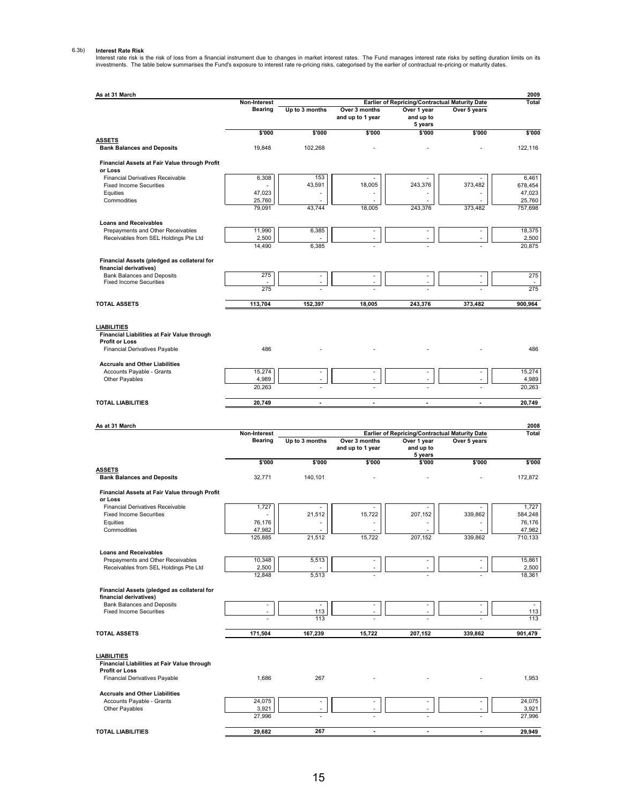6.3b) Interest Rate Risk<br>Interest rate risk is the risk of loss from a financial instrument due to changes in market interest rates. The Fund manages interest rate risks by setting duration limits on its<br>Investments. The t

| As at 31 March                                                        |                  |                          |                                   |                                                |                | 2009                     |
|-----------------------------------------------------------------------|------------------|--------------------------|-----------------------------------|------------------------------------------------|----------------|--------------------------|
|                                                                       | Non-Interest     |                          |                                   | Earlier of Repricing/Contractual Maturity Date |                | Total                    |
|                                                                       | <b>Bearing</b>   | Up to 3 months           | Over 3 months<br>and up to 1 year | Over 1 year<br>and up to                       | Over 5 years   |                          |
|                                                                       | \$'000           | \$'000                   | \$'000                            | 5 years<br>\$'000                              | \$'000         | \$'000                   |
| <b>ASSETS</b><br><b>Bank Balances and Deposits</b>                    | 19.848           | 102,268                  |                                   |                                                |                | 122.116                  |
| Financial Assets at Fair Value through Profit<br>or Loss              |                  |                          |                                   |                                                |                |                          |
| Financial Derivatives Receivable                                      | 6,308            | 153                      |                                   |                                                | L,             | 6,461                    |
| <b>Fixed Income Securities</b>                                        |                  | 43,591                   | 18,005                            | 243,376                                        | 373,482        | 678,454                  |
| Equities<br>Commodities                                               | 47,023<br>25,760 |                          |                                   |                                                |                | 47,023<br>25,760         |
|                                                                       | 79,091           | 43,744                   | 18,005                            | 243,376                                        | 373,482        | 757,698                  |
| <b>Loans and Receivables</b>                                          |                  |                          |                                   |                                                |                |                          |
| Prepayments and Other Receivables                                     | 11,990           | 6,385                    | Ĭ.                                |                                                |                | 18,375                   |
| Receivables from SEL Holdings Pte Ltd                                 | 2,500<br>14,490  | 6,385                    |                                   |                                                |                | 2,500<br>20,875          |
| Financial Assets (pledged as collateral for                           |                  |                          |                                   |                                                |                |                          |
| financial derivatives)                                                |                  |                          |                                   |                                                |                |                          |
| Bank Balances and Deposits<br><b>Fixed Income Securities</b>          | 275              | $\overline{a}$           | ä,                                | $\overline{a}$                                 | $\overline{a}$ | 275                      |
|                                                                       | 275              |                          |                                   |                                                |                | 275                      |
| <b>TOTAL ASSETS</b>                                                   | 113,704          | 152,397                  | 18,005                            | 243,376                                        | 373,482        | 900,964                  |
|                                                                       |                  |                          |                                   |                                                |                |                          |
| <b>LIABILITIES</b>                                                    |                  |                          |                                   |                                                |                |                          |
| Financial Liabilities at Fair Value through<br><b>Profit or Loss</b>  |                  |                          |                                   |                                                |                |                          |
| Financial Derivatives Payable                                         | 486              |                          |                                   |                                                |                | 486                      |
| <b>Accruals and Other Liabilities</b>                                 |                  |                          |                                   |                                                |                |                          |
| Accounts Payable - Grants                                             | 15,274           |                          |                                   |                                                | ÷.             | 15,274                   |
| Other Payables                                                        | 4,989<br>20,263  |                          |                                   |                                                |                | 4,989<br>20,263          |
|                                                                       |                  |                          |                                   |                                                |                |                          |
| <b>TOTAL LIABILITIES</b>                                              | 20,749           | ÷,                       |                                   |                                                |                | 20,749                   |
|                                                                       |                  |                          |                                   |                                                |                |                          |
|                                                                       |                  |                          |                                   |                                                |                |                          |
| As at 31 March                                                        | Non-Interest     |                          |                                   | Earlier of Repricing/Contractual Maturity Date |                | 2008<br>Total            |
|                                                                       | <b>Bearing</b>   | Up to 3 months           | Over 3 months<br>and up to 1 year | Over 1 year<br>and up to                       | Over 5 years   |                          |
|                                                                       | \$'000           | \$'000                   | \$'000                            | 5 years<br>\$'000                              | \$'000         | \$'000                   |
| <b>ASSETS</b>                                                         |                  |                          |                                   |                                                |                |                          |
| <b>Bank Balances and Deposits</b>                                     | 32,771           | 140,101                  |                                   |                                                |                | 172,872                  |
| Financial Assets at Fair Value through Profit<br>or Loss              |                  |                          |                                   |                                                |                |                          |
| <b>Financial Derivatives Receivable</b>                               | 1,727            |                          |                                   |                                                | ٠              | 1,727                    |
| <b>Fixed Income Securities</b>                                        |                  | 21,512                   | 15,722                            | 207,152                                        | 339,862<br>÷,  | 584,248                  |
| Equities<br>Commodities                                               | 76,176<br>47,982 |                          |                                   |                                                | ä,             | 76,176<br>47,982         |
|                                                                       | 125,885          | 21,512                   | 15,722                            | 207,152                                        | 339,862        | 710,133                  |
| <b>Loans and Receivables</b>                                          |                  |                          |                                   |                                                |                |                          |
| Prepayments and Other Receivables                                     | 10,348           | 5,513                    |                                   |                                                |                | 15,861                   |
| Receivables from SEL Holdings Pte Ltd                                 | 2,500<br>12,848  | 5,513                    |                                   |                                                |                | 2,500<br>18,361          |
|                                                                       |                  |                          |                                   |                                                |                |                          |
| Financial Assets (pledged as collateral for<br>financial derivatives) |                  |                          |                                   |                                                |                |                          |
| Bank Balances and Deposits                                            |                  | $\overline{\phantom{a}}$ |                                   |                                                | ٠              | $\overline{\phantom{a}}$ |
| <b>Fixed Income Securities</b>                                        |                  | 113<br>113               |                                   |                                                |                | 113<br>113               |
| <b>TOTAL ASSETS</b>                                                   | 171,504          | 167,239                  | 15,722                            | 207,152                                        | 339,862        | 901,479                  |
|                                                                       |                  |                          |                                   |                                                |                |                          |
| <b>LIABILITIES</b>                                                    |                  |                          |                                   |                                                |                |                          |
| Financial Liabilities at Fair Value through                           |                  |                          |                                   |                                                |                |                          |
| <b>Profit or Loss</b><br>Financial Derivatives Payable                | 1,686            | 267                      |                                   |                                                |                | 1,953                    |
|                                                                       |                  |                          |                                   |                                                |                |                          |
| <b>Accruals and Other Liabilities</b><br>Accounts Payable - Grants    | 24,075           | ٠                        |                                   |                                                |                | 24,075                   |
| Other Payables                                                        | 3,921            |                          |                                   |                                                | ÷.             | 3,921                    |
|                                                                       | 27,996           |                          |                                   |                                                |                | 27,996                   |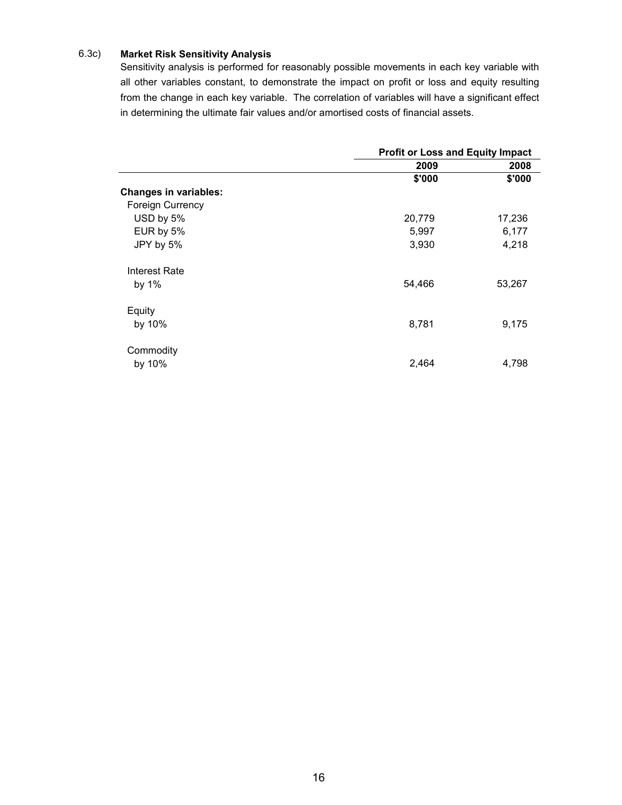#### 6.3c) **Market Risk Sensitivity Analysis**

Sensitivity analysis is performed for reasonably possible movements in each key variable with all other variables constant, to demonstrate the impact on profit or loss and equity resulting from the change in each key variable. The correlation of variables will have a significant effect in determining the ultimate fair values and/or amortised costs of financial assets.

|                              | <b>Profit or Loss and Equity Impact</b> |        |  |
|------------------------------|-----------------------------------------|--------|--|
|                              | 2009                                    | 2008   |  |
|                              | \$'000                                  | \$'000 |  |
| <b>Changes in variables:</b> |                                         |        |  |
| <b>Foreign Currency</b>      |                                         |        |  |
| USD by 5%                    | 20,779                                  | 17,236 |  |
| EUR by 5%                    | 5,997                                   | 6,177  |  |
| JPY by 5%                    | 3,930                                   | 4,218  |  |
| Interest Rate                |                                         |        |  |
| by $1\%$                     | 54,466                                  | 53,267 |  |
| Equity                       |                                         |        |  |
| by 10%                       | 8,781                                   | 9,175  |  |
| Commodity                    |                                         |        |  |
| by 10%                       | 2,464                                   | 4,798  |  |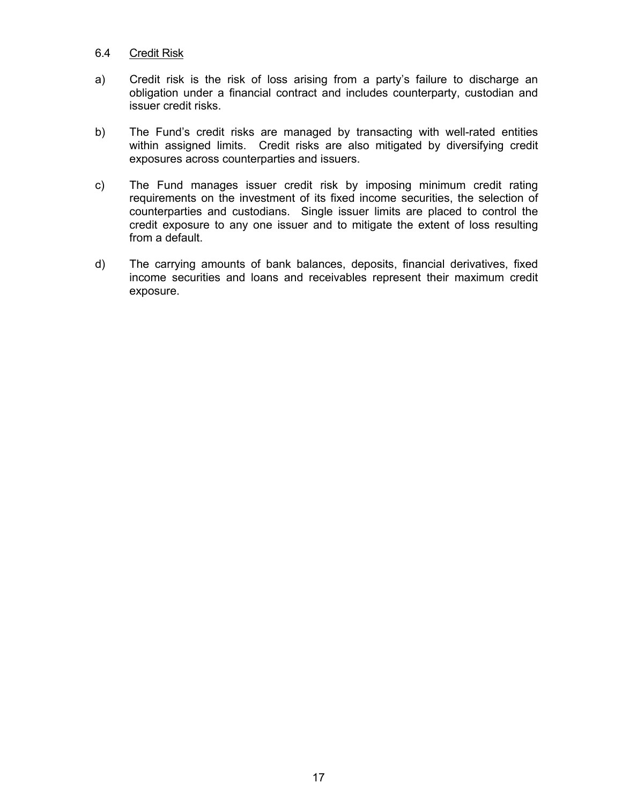#### 6.4 Credit Risk

- a) Credit risk is the risk of loss arising from a party's failure to discharge an obligation under a financial contract and includes counterparty, custodian and issuer credit risks.
- b) The Fund's credit risks are managed by transacting with well-rated entities within assigned limits. Credit risks are also mitigated by diversifying credit exposures across counterparties and issuers.
- c) The Fund manages issuer credit risk by imposing minimum credit rating requirements on the investment of its fixed income securities, the selection of counterparties and custodians. Single issuer limits are placed to control the credit exposure to any one issuer and to mitigate the extent of loss resulting from a default.
- d) The carrying amounts of bank balances, deposits, financial derivatives, fixed income securities and loans and receivables represent their maximum credit exposure.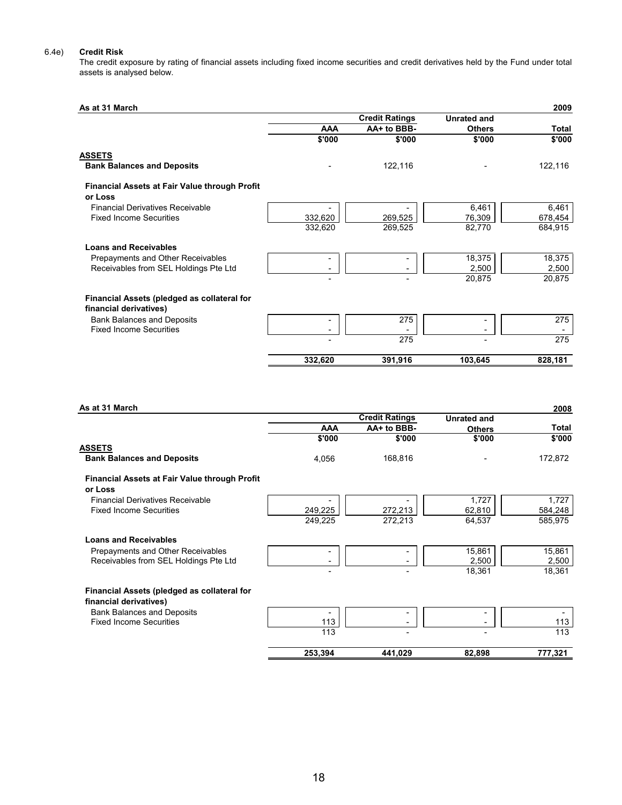#### 6.4e) **Credit Risk**

The credit exposure by rating of financial assets including fixed income securities and credit derivatives held by the Fund under total assets is analysed below.

| As at 31 March                                |            |                       |                    | 2009    |
|-----------------------------------------------|------------|-----------------------|--------------------|---------|
|                                               |            | <b>Credit Ratings</b> | <b>Unrated and</b> |         |
|                                               | <b>AAA</b> | AA+ to BBB-           | <b>Others</b>      | Total   |
|                                               | \$'000     | \$'000                | \$'000             | \$'000  |
| <b>ASSETS</b>                                 |            |                       |                    |         |
| <b>Bank Balances and Deposits</b>             |            | 122,116               |                    | 122,116 |
| Financial Assets at Fair Value through Profit |            |                       |                    |         |
| or Loss                                       |            |                       |                    |         |
| <b>Financial Derivatives Receivable</b>       |            |                       | 6,461              | 6,461   |
| <b>Fixed Income Securities</b>                | 332,620    | 269,525               | 76,309             | 678,454 |
|                                               | 332,620    | 269,525               | 82,770             | 684,915 |
| <b>Loans and Receivables</b>                  |            |                       |                    |         |
| Prepayments and Other Receivables             |            |                       | 18,375             | 18,375  |
| Receivables from SEL Holdings Pte Ltd         |            |                       | 2,500              | 2,500   |
|                                               |            |                       | 20,875             | 20,875  |
| Financial Assets (pledged as collateral for   |            |                       |                    |         |
| financial derivatives)                        |            |                       |                    |         |
| <b>Bank Balances and Deposits</b>             |            | 275                   |                    | 275     |
| <b>Fixed Income Securities</b>                |            |                       |                    |         |
|                                               |            | 275                   |                    | 275     |
|                                               | 332,620    | 391,916               | 103,645            | 828,181 |

| As at 31 March                                       |            |                       |                    | 2008    |
|------------------------------------------------------|------------|-----------------------|--------------------|---------|
|                                                      |            | <b>Credit Ratings</b> | <b>Unrated and</b> |         |
|                                                      | <b>AAA</b> | AA+ to BBB-           | <b>Others</b>      | Total   |
|                                                      | \$'000     | \$'000                | \$'000             | \$'000  |
| <b>ASSETS</b>                                        |            |                       |                    |         |
| <b>Bank Balances and Deposits</b>                    | 4,056      | 168,816               |                    | 172,872 |
| <b>Financial Assets at Fair Value through Profit</b> |            |                       |                    |         |
| or Loss                                              |            |                       |                    |         |
| <b>Financial Derivatives Receivable</b>              |            |                       | 1,727              | 1,727   |
| <b>Fixed Income Securities</b>                       | 249,225    | 272,213               | 62,810             | 584,248 |
|                                                      | 249,225    | 272,213               | 64,537             | 585,975 |
| <b>Loans and Receivables</b>                         |            |                       |                    |         |
| Prepayments and Other Receivables                    |            |                       | 15,861             | 15,861  |
| Receivables from SEL Holdings Pte Ltd                |            |                       | 2,500              | 2,500   |
|                                                      |            |                       | 18,361             | 18,361  |
| Financial Assets (pledged as collateral for          |            |                       |                    |         |
| financial derivatives)                               |            |                       |                    |         |
| <b>Bank Balances and Deposits</b>                    |            |                       |                    |         |
| <b>Fixed Income Securities</b>                       | 113        |                       |                    | 113     |
|                                                      | 113        |                       |                    | 113     |
|                                                      | 253,394    | 441,029               | 82,898             | 777,321 |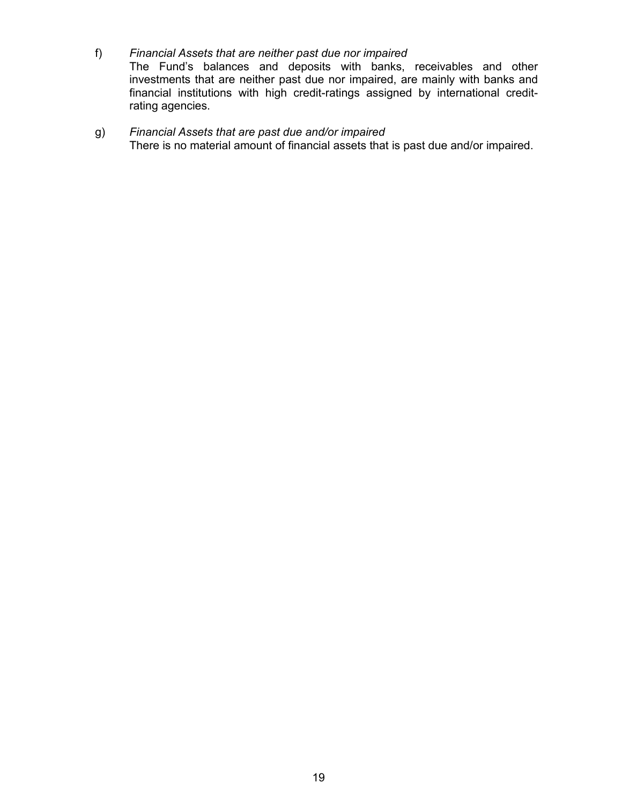f) *Financial Assets that are neither past due nor impaired* The Fund's balances and deposits with banks, receivables and other investments that are neither past due nor impaired, are mainly with banks and financial institutions with high credit-ratings assigned by international creditrating agencies.

### g) *Financial Assets that are past due and/or impaired*  There is no material amount of financial assets that is past due and/or impaired.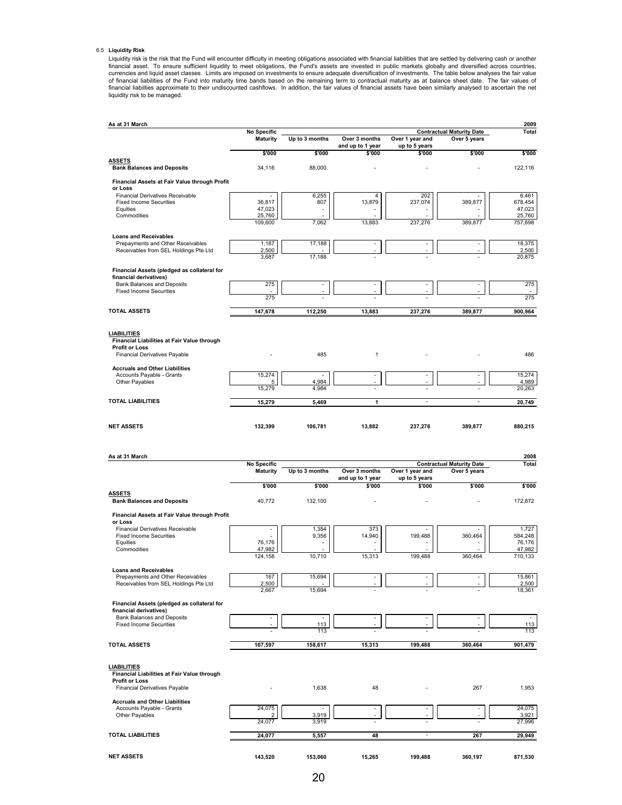#### 6.5 **Liquidity Risk**

Liquidity risk is the risk that the Fund will encounter difficulty in meeting obligations associated with financial liabilities that are settled by delivering cash or another<br>financial asset. To ensure sufficient liquidity liquidity risk to be managed.

| As at 31 March                                                             |                          |                                 |                          |                          |                                  | 2009                 |
|----------------------------------------------------------------------------|--------------------------|---------------------------------|--------------------------|--------------------------|----------------------------------|----------------------|
|                                                                            | <b>No Specific</b>       |                                 |                          |                          | <b>Contractual Maturity Date</b> | Total                |
|                                                                            | <b>Maturity</b>          | Up to 3 months                  | Over 3 months            | Over 1 year and          | Over 5 years                     |                      |
|                                                                            |                          |                                 | and up to 1 year         | up to 5 years            |                                  |                      |
| ASSETS                                                                     | \$'000                   | \$'000                          | \$'000                   | \$'000                   | \$'000                           | \$'000               |
| <b>Bank Balances and Deposits</b>                                          | 34,116                   | 88,000                          |                          |                          |                                  | 122,116              |
|                                                                            |                          |                                 |                          |                          |                                  |                      |
| Financial Assets at Fair Value through Profit<br>or Loss                   |                          |                                 |                          |                          |                                  |                      |
| <b>Financial Derivatives Receivable</b>                                    |                          | 6,255                           | 4                        | 202                      |                                  | 6,461                |
| <b>Fixed Income Securities</b>                                             | 36,817                   | 807                             | 13,879                   | 237,074                  | 389,877                          | 678,454              |
| Equities                                                                   | 47,023                   | ٠                               |                          |                          |                                  | 47,023               |
| Commodities                                                                | 25,760<br>109,600        | 7,062                           | 13,883                   | 237,276                  | 389,877                          | 25,760<br>757,698    |
|                                                                            |                          |                                 |                          |                          |                                  |                      |
| <b>Loans and Receivables</b>                                               |                          |                                 |                          |                          |                                  |                      |
| Prepayments and Other Receivables<br>Receivables from SEL Holdings Pte Ltd | 1,187<br>2,500           | 17,188                          | $\overline{a}$           |                          |                                  | 18,375<br>2,500      |
|                                                                            | 3,687                    | 17,188                          |                          |                          |                                  | 20,875               |
|                                                                            |                          |                                 |                          |                          |                                  |                      |
| Financial Assets (pledged as collateral for                                |                          |                                 |                          |                          |                                  |                      |
| financial derivatives)<br><b>Bank Balances and Deposits</b>                | 275                      |                                 | ÷,                       |                          |                                  | 275                  |
| <b>Fixed Income Securities</b>                                             |                          |                                 |                          |                          |                                  |                      |
|                                                                            | 275                      |                                 |                          |                          |                                  | 275                  |
|                                                                            |                          |                                 |                          |                          |                                  |                      |
| <b>TOTAL ASSETS</b>                                                        | 147,678                  | 112,250                         | 13,883                   | 237,276                  | 389,877                          | 900,964              |
|                                                                            |                          |                                 |                          |                          |                                  |                      |
| <u>LIABILITIES</u>                                                         |                          |                                 |                          |                          |                                  |                      |
| Financial Liabilities at Fair Value through                                |                          |                                 |                          |                          |                                  |                      |
| <b>Profit or Loss</b>                                                      |                          |                                 |                          |                          |                                  |                      |
| Financial Derivatives Payable                                              |                          | 485                             | 1                        |                          |                                  | 486                  |
| <b>Accruals and Other Liabilities</b>                                      |                          |                                 |                          |                          |                                  |                      |
| Accounts Payable - Grants                                                  | 15,274                   |                                 | ٠                        |                          |                                  | 15,274               |
| Other Payables                                                             | 5                        | 4,984                           | ÷,                       |                          |                                  | 4,989                |
|                                                                            | 15,279                   | 4,984                           |                          |                          |                                  | 20,263               |
| <b>TOTAL LIABILITIES</b>                                                   | 15,279                   | 5,469                           | 1                        | $\sim$                   | ٠                                | 20,749               |
|                                                                            |                          |                                 |                          |                          |                                  |                      |
|                                                                            |                          |                                 |                          |                          |                                  |                      |
| NET ASSETS                                                                 | 132,399                  | 106,781                         | 13,882                   | 237,276                  | 389,877                          | 880,215              |
|                                                                            |                          |                                 |                          |                          |                                  |                      |
|                                                                            |                          |                                 |                          |                          |                                  |                      |
|                                                                            |                          |                                 |                          |                          |                                  |                      |
| As at 31 March                                                             | <b>No Specific</b>       |                                 |                          |                          | <b>Contractual Maturity Date</b> | 2008<br><b>Total</b> |
|                                                                            | <b>Maturity</b>          | Up to 3 months                  | Over 3 months            | Over 1 year and          | Over 5 years                     |                      |
|                                                                            |                          |                                 | and up to 1 year         | up to 5 years            |                                  |                      |
|                                                                            | \$'000                   | \$'000                          | \$'000                   | \$'000                   | \$'000                           | \$'000               |
| <b>ASSETS</b>                                                              |                          |                                 |                          |                          |                                  |                      |
| <b>Bank Balances and Deposits</b>                                          | 40,772                   | 132,100                         |                          |                          |                                  | 172,872              |
| Financial Assets at Fair Value through Profit                              |                          |                                 |                          |                          |                                  |                      |
| or Loss                                                                    |                          |                                 |                          |                          |                                  |                      |
| <b>Financial Derivatives Receivable</b>                                    | $\overline{\phantom{a}}$ | 1,354                           | 373                      |                          |                                  | 1,727                |
| <b>Fixed Income Securities</b>                                             |                          | 9,356                           | 14,940                   | 199,488                  | 360,464                          | 584,248              |
| Equities                                                                   | 76,176<br>47,982         |                                 |                          |                          |                                  | 76,176<br>47,982     |
| Commodities                                                                | 124,158                  | 10,710                          | 15,313                   | 199.488                  | 360,464                          | 710,133              |
|                                                                            |                          |                                 |                          |                          |                                  |                      |
| <b>Loans and Receivables</b>                                               |                          |                                 |                          |                          |                                  |                      |
| Prepayments and Other Receivables                                          | 167                      | 15,694                          |                          |                          |                                  | 15,861               |
| Receivables from SEL Holdings Pte Ltd                                      | 2,500<br>2,667           | 15,694                          |                          |                          |                                  | 2,500<br>18,361      |
|                                                                            |                          |                                 |                          |                          |                                  |                      |
| Financial Assets (pledged as collateral for                                |                          |                                 |                          |                          |                                  |                      |
| financial derivatives)                                                     |                          |                                 |                          |                          |                                  |                      |
| Bank Balances and Deposits<br><b>Fixed Income Securities</b>               | $\overline{\phantom{a}}$ | $\overline{\phantom{a}}$<br>113 | $\blacksquare$           | $\overline{\phantom{a}}$ | $\overline{\phantom{a}}$         | 113                  |
|                                                                            |                          | 113                             |                          |                          |                                  | 113                  |
|                                                                            |                          |                                 |                          |                          |                                  |                      |
| <b>TOTAL ASSETS</b>                                                        | 167,597                  | 158,617                         | 15,313                   | 199,488                  | 360,464                          | 901,479              |
|                                                                            |                          |                                 |                          |                          |                                  |                      |
| <u>LIABILITIES</u>                                                         |                          |                                 |                          |                          |                                  |                      |
| Financial Liabilities at Fair Value through                                |                          |                                 |                          |                          |                                  |                      |
| <b>Profit or Loss</b>                                                      |                          |                                 |                          |                          |                                  |                      |
| Financial Derivatives Payable                                              |                          | 1,638                           | 48                       |                          | 267                              | 1,953                |
| <b>Accruals and Other Liabilities</b>                                      |                          |                                 |                          |                          |                                  |                      |
| Accounts Payable - Grants                                                  | 24,075                   |                                 | $\overline{\phantom{a}}$ |                          |                                  | 24,075               |
| Other Payables                                                             |                          |                                 |                          |                          |                                  | 3,921                |
|                                                                            | 2                        | 3,919                           |                          |                          |                                  |                      |
|                                                                            | 24,077                   | 3,919                           |                          |                          |                                  | 27,996               |
| <b>TOTAL LIABILITIES</b>                                                   |                          |                                 |                          | $\overline{a}$           |                                  |                      |
|                                                                            | 24,077                   | 5,557                           | 48                       |                          | 267                              | 29,949               |
| <b>NET ASSETS</b>                                                          | 143,520                  | 153,060                         | 15,265                   | 199,488                  | 360,197                          | 871,530              |

<u>20</u>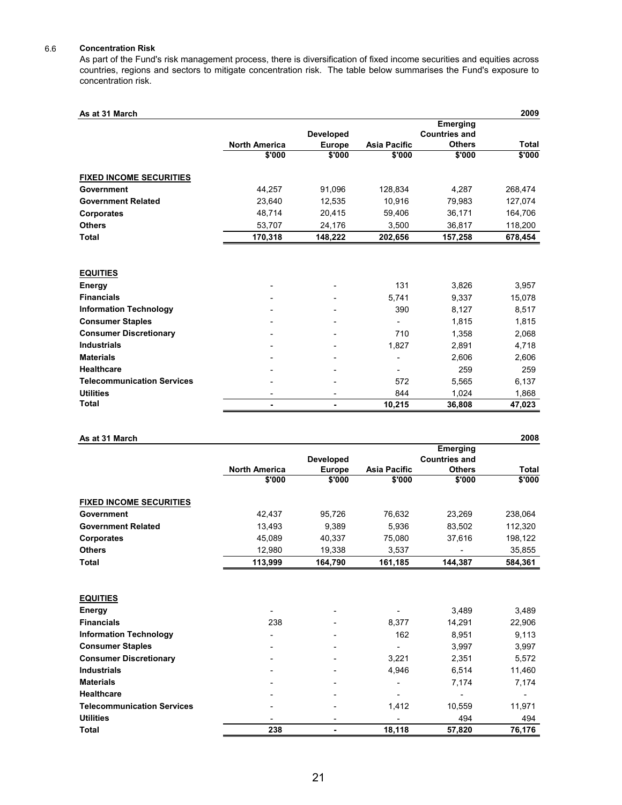#### 6.6 **Concentration Risk**

As part of the Fund's risk management process, there is diversification of fixed income securities and equities across countries, regions and sectors to mitigate concentration risk. The table below summarises the Fund's exposure to concentration risk.

| As at 31 March                    |                      |                              |                     |                                  | 2009         |
|-----------------------------------|----------------------|------------------------------|---------------------|----------------------------------|--------------|
|                                   |                      | <b>Developed</b>             |                     | Emerging<br><b>Countries and</b> |              |
|                                   | <b>North America</b> | <b>Europe</b>                | <b>Asia Pacific</b> | <b>Others</b>                    | <b>Total</b> |
|                                   | \$'000               | \$'000                       | \$'000              | \$'000                           | \$'000       |
| <b>FIXED INCOME SECURITIES</b>    |                      |                              |                     |                                  |              |
| Government                        | 44,257               | 91,096                       | 128,834             | 4,287                            | 268,474      |
| <b>Government Related</b>         | 23,640               | 12,535                       | 10,916              | 79,983                           | 127,074      |
| <b>Corporates</b>                 | 48,714               | 20,415                       | 59,406              | 36,171                           | 164,706      |
| <b>Others</b>                     | 53,707               | 24,176                       | 3,500               | 36,817                           | 118,200      |
| <b>Total</b>                      | 170,318              | 148,222                      | 202,656             | 157,258                          | 678,454      |
|                                   |                      |                              |                     |                                  |              |
| <b>EQUITIES</b>                   |                      |                              |                     |                                  |              |
| Energy                            |                      | $\overline{\phantom{0}}$     | 131                 | 3,826                            | 3,957        |
| <b>Financials</b>                 |                      |                              | 5.741               | 9,337                            | 15,078       |
| <b>Information Technology</b>     |                      |                              | 390                 | 8,127                            | 8,517        |
| <b>Consumer Staples</b>           |                      |                              |                     | 1,815                            | 1,815        |
| <b>Consumer Discretionary</b>     |                      |                              | 710                 | 1,358                            | 2,068        |
| <b>Industrials</b>                |                      |                              | 1.827               | 2,891                            | 4,718        |
| <b>Materials</b>                  |                      |                              |                     | 2,606                            | 2,606        |
| <b>Healthcare</b>                 |                      |                              |                     | 259                              | 259          |
| <b>Telecommunication Services</b> |                      |                              | 572                 | 5,565                            | 6,137        |
| <b>Utilities</b>                  | ٠                    | $\qquad \qquad \blacksquare$ | 844                 | 1,024                            | 1,868        |
| Total                             | ٠                    | ۰                            | 10,215              | 36,808                           | 47,023       |

| As at 31 March                    |                      |                  |                     |                      | 2008         |
|-----------------------------------|----------------------|------------------|---------------------|----------------------|--------------|
|                                   |                      |                  |                     | Emerging             |              |
|                                   |                      | <b>Developed</b> |                     | <b>Countries and</b> |              |
|                                   | <b>North America</b> | <b>Europe</b>    | <b>Asia Pacific</b> | <b>Others</b>        | <b>Total</b> |
|                                   | \$'000               | \$'000           | \$'000              | \$'000               | \$'000       |
| <b>FIXED INCOME SECURITIES</b>    |                      |                  |                     |                      |              |
| Government                        | 42,437               | 95,726           | 76,632              | 23,269               | 238,064      |
| <b>Government Related</b>         | 13,493               | 9,389            | 5,936               | 83,502               | 112,320      |
| Corporates                        | 45,089               | 40,337           | 75,080              | 37,616               | 198,122      |
| <b>Others</b>                     | 12,980               | 19,338           | 3,537               |                      | 35,855       |
| Total                             | 113,999              | 164,790          | 161,185             | 144,387              | 584,361      |
|                                   |                      |                  |                     |                      |              |
| <b>EQUITIES</b>                   |                      |                  |                     |                      |              |
| Energy                            |                      |                  |                     | 3.489                | 3,489        |
| <b>Financials</b>                 | 238                  |                  | 8,377               | 14,291               | 22,906       |
| <b>Information Technology</b>     |                      |                  | 162                 | 8.951                | 9,113        |
| <b>Consumer Staples</b>           |                      |                  |                     | 3,997                | 3,997        |
| <b>Consumer Discretionary</b>     |                      |                  | 3,221               | 2,351                | 5.572        |
| <b>Industrials</b>                |                      |                  | 4,946               | 6,514                | 11,460       |
| <b>Materials</b>                  |                      |                  |                     | 7,174                | 7,174        |
| <b>Healthcare</b>                 |                      |                  |                     |                      |              |
| <b>Telecommunication Services</b> |                      |                  | 1,412               | 10,559               | 11,971       |
| <b>Utilities</b>                  |                      |                  |                     | 494                  | 494          |
| <b>Total</b>                      | 238                  | ٠                | 18,118              | 57,820               | 76,176       |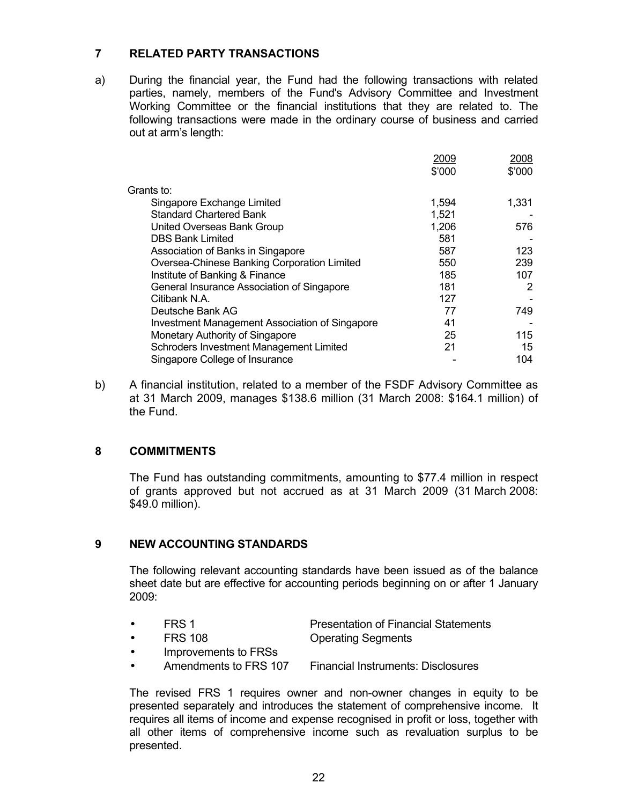## **7 RELATED PARTY TRANSACTIONS**

a) During the financial year, the Fund had the following transactions with related parties, namely, members of the Fund's Advisory Committee and Investment Working Committee or the financial institutions that they are related to. The following transactions were made in the ordinary course of business and carried out at arm's length:

|                                                       | 2009   | 2008   |
|-------------------------------------------------------|--------|--------|
|                                                       | \$'000 | \$'000 |
| Grants to:                                            |        |        |
| Singapore Exchange Limited                            | 1,594  | 1,331  |
| <b>Standard Chartered Bank</b>                        | 1,521  |        |
| United Overseas Bank Group                            | 1,206  | 576    |
| <b>DBS Bank Limited</b>                               | 581    |        |
| Association of Banks in Singapore                     | 587    | 123    |
| Oversea-Chinese Banking Corporation Limited           | 550    | 239    |
| Institute of Banking & Finance                        | 185    | 107    |
| General Insurance Association of Singapore            | 181    | 2      |
| Citibank N.A.                                         | 127    |        |
| Deutsche Bank AG                                      | 77     | 749    |
| <b>Investment Management Association of Singapore</b> | 41     |        |
| Monetary Authority of Singapore                       | 25     | 115    |
| Schroders Investment Management Limited               | 21     | 15     |
| Singapore College of Insurance                        |        | 104    |

b) A financial institution, related to a member of the FSDF Advisory Committee as at 31 March 2009, manages \$138.6 million (31 March 2008: \$164.1 million) of the Fund.

### **8 COMMITMENTS**

 The Fund has outstanding commitments, amounting to \$77.4 million in respect of grants approved but not accrued as at 31 March 2009 (31 March 2008: \$49.0 million).

### **9 NEW ACCOUNTING STANDARDS**

 The following relevant accounting standards have been issued as of the balance sheet date but are effective for accounting periods beginning on or after 1 January 2009:

| FRS <sub>1</sub> | <b>Presentation of Financial Statements</b> |
|------------------|---------------------------------------------|
|------------------|---------------------------------------------|

• FRS 108 Operating Segments

- Improvements to FRSs
	- Amendments to FRS 107 Financial Instruments: Disclosures

 The revised FRS 1 requires owner and non-owner changes in equity to be presented separately and introduces the statement of comprehensive income. It requires all items of income and expense recognised in profit or loss, together with all other items of comprehensive income such as revaluation surplus to be presented.